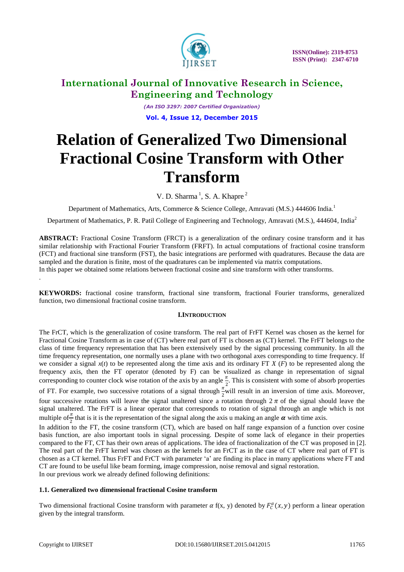

*(An ISO 3297: 2007 Certified Organization)* **Vol. 4, Issue 12, December 2015**

# **Relation of Generalized Two Dimensional Fractional Cosine Transform with Other Transform**

V. D. Sharma<sup>1</sup>, S. A. Khapre<sup>2</sup>

Department of Mathematics, Arts, Commerce & Science College, Amravati (M.S.) 444606 India*.* 1

Department of Mathematics, P. R. Patil College of Engineering and Technology, Amravati (M.S.), 444604, India<sup>2</sup>

**ABSTRACT:** Fractional Cosine Transform (FRCT) is a generalization of the ordinary cosine transform and it has similar relationship with Fractional Fourier Transform (FRFT). In actual computations of fractional cosine transform (FCT) and fractional sine transform (FST), the basic integrations are performed with quadratures. Because the data are sampled and the duration is finite, most of the quadratures can be implemented via matrix computations. In this paper we obtained some relations between fractional cosine and sine transform with other transforms. .

**KEYWORDS:** fractional cosine transform, fractional sine transform, fractional Fourier transforms, generalized function, two dimensional fractional cosine transform.

### **I.INTRODUCTION**

The FrCT, which is the generalization of cosine transform. The real part of FrFT Kernel was chosen as the kernel for Fractional Cosine Transform as in case of (CT) where real part of FT is chosen as (CT) kernel. The FrFT belongs to the class of time frequency representation that has been extensively used by the signal processing community. In all the time frequency representation, one normally uses a plane with two orthogonal axes corresponding to time frequency. If we consider a signal  $x(t)$  to be represented along the time axis and its ordinary FT  $X(F)$  to be represented along the frequency axis, then the FT operator (denoted by F) can be visualized as change in representation of signal corresponding to counter clock wise rotation of the axis by an angle  $\frac{\pi}{2}$ . This is consistent with some of absorb properties of FT. For example, two successive rotations of a signal through  $\frac{\pi}{2}$  will result in an inversion of time axis. Moreover, four successive rotations will leave the signal unaltered since a rotation through  $2 \pi$  of the signal should leave the signal unaltered. The FrFT is a linear operator that corresponds to rotation of signal through an angle which is not multiple of  $\frac{\pi}{2}$  that is it is the representation of the signal along the axis u making an angle  $\alpha$  with time axis.

In addition to the FT, the cosine transform (CT), which are based on half range expansion of a function over cosine basis function, are also important tools in signal processing. Despite of some lack of elegance in their properties compared to the FT, CT has their own areas of applications. The idea of fractionalization of the CT was proposed in [2]. The real part of the FrFT kernel was chosen as the kernels for an FrCT as in the case of CT where real part of FT is chosen as a CT kernel. Thus FrFT and FrCT with parameter "a" are finding its place in many applications where FT and CT are found to be useful like beam forming, image compression, noise removal and signal restoration. In our previous work we already defined following definitions:

### **1.1. Generalized two dimensional fractional Cosine transform**

Two dimensional fractional Cosine transform with parameter  $\alpha$  f(x, y) denoted by  $F_c^{\alpha}(x, y)$  perform a linear operation given by the integral transform.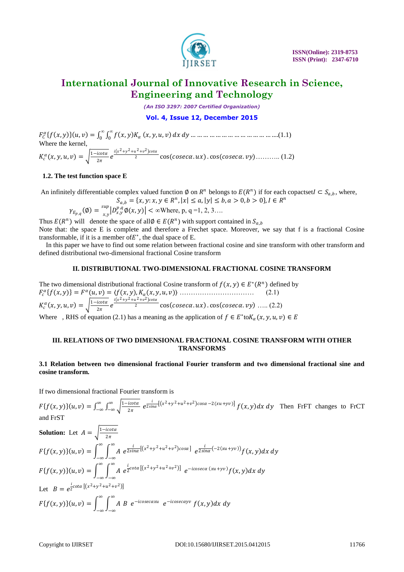

*(An ISO 3297: 2007 Certified Organization)*

### **Vol. 4, Issue 12, December 2015**

 $F_c^{\alpha} \{f(x, y)\}(u, v) = \int_0^{\infty} \int_0^{\infty} f(x, y) K_{\alpha}$ 0 *∞* 0 , , , … … … … … … … … … … … … … ….(1.1) Where the kernel,  $K_c^{\alpha}(x, y, u, v) = \sqrt{\frac{1 - i c \sigma t \alpha}{2 \pi}}$  $\frac{i\cot\alpha}{2\pi}e^{\frac{i(x^2+y^2+u^2+v^2)\cot\alpha}{2}}$ <sup>2</sup> cos . . cos . ……….. (1.2)

### **1.2. The test function space E**

An infinitely differentiable complex valued function  $\emptyset$  on  $R^n$  belongs to  $E(R^n)$  if for each copactset  $I \subset S_{a,b}$ , where,

$$
S_{a,b} = \{x, y: x, y \in R^n, |x| \le a, |y| \le b, a > 0, b > 0\}, I \in R^n
$$
  

$$
\gamma_{E_{p,q}}(\emptyset) = \frac{\sup_{x,y} |D_{x,y}^{p,q} \emptyset(x,y)| < \infty \text{Where, p, q = 1, 2, 3...}
$$

Thus  $E(R^n)$  will denote the space of all $\emptyset \in E(R^n)$  with support contained in  $S_{a,b}$ Note that: the space E is complete and therefore a Frechet space. Moreover, we say that f is a fractional Cosine transformable, if it is a member of  $E^*$ , the dual space of E.

 In this paper we have to find out some relation between fractional cosine and sine transform with other transform and defined distributional two-dimensional fractional Cosine transform

### **II. DISTRIBUTIONAL TWO-DIMENSIONAL FRACTIONAL COSINE TRANSFORM**

The two dimensional distributional fractional Cosine transform of  $f(x, y) \in E^*(\mathbb{R}^n)$  defined by , = , = , , (, , , ) …………………………… (2.1)  $K_c^{\alpha}(x, y, u, v) = \sqrt{\frac{1 - i c \sigma t \alpha}{2 \pi}}$  $\frac{i\cot\alpha}{2\pi}e^{\frac{i(x^2+y^2+u^2+v^2)\cot\alpha}{2}}$  $\overline{c}$  cos (coseca.ux) . cos (coseca.vy) ..... (2.2) Where , RHS of equation (2.1) has a meaning as the application of  $f \in E^*$ to $K_\alpha(x, y, u, v) \in E$ 

#### **III. RELATIONS OF TWO DIMENSIONAL FRACTIONAL COSINE TRANSFORM WITH OTHER TRANSFORMS**

### **3.1 Relation between two dimensional fractional Fourier transform and two dimensional fractional sine and cosine transform.**

If two dimensional fractional Fourier transform is

 $F\{f(x, y)\}(u, v) = \int_{-\infty}^{\infty} \int_{-\infty}^{\infty} \frac{|1 - i c \alpha u}{2\pi}$  $2\pi$ ∞ −∞ ∞  $-\infty$ ,  $\int_{-\infty}^{\infty} \int_{-\infty}^{\infty} \frac{1-i \cot \alpha}{2\pi} e^{\frac{i}{2\sin \alpha}[(x^2+y^2+u^2+v^2)\cos \alpha -2(xu+ yv)]} f(x, y) dx dy$  Then FrFT changes to FrCT and FrST

**Solution:** Let 
$$
A = \sqrt{\frac{1 - icot\alpha}{2\pi}}
$$
  
\n
$$
F\{f(x, y)\}(u, v) = \int_{-\infty}^{\infty} \int_{-\infty}^{\infty} A e^{\frac{i}{2\sin\alpha}[(x^2 + y^2 + u^2 + v^2)cos\alpha]} e^{\frac{i}{2\sin\alpha}(-2(xu + yv))} f(x, y) dx dy
$$
\n
$$
F\{f(x, y)\}(u, v) = \int_{-\infty}^{\infty} \int_{-\infty}^{\infty} A e^{\frac{i}{2}cot\alpha}[(x^2 + y^2 + u^2 + v^2)] e^{-icosec\alpha} (xu + yv) f(x, y) dx dy
$$
\nLet  $B = e^{\frac{i}{2}cot\alpha}[(x^2 + y^2 + u^2 + v^2)]$   
\n
$$
F\{f(x, y)\}(u, v) = \int_{-\infty}^{\infty} \int_{-\infty}^{\infty} A B e^{-icosec\alpha xu} e^{-icosec\alpha yv} f(x, y) dx dy
$$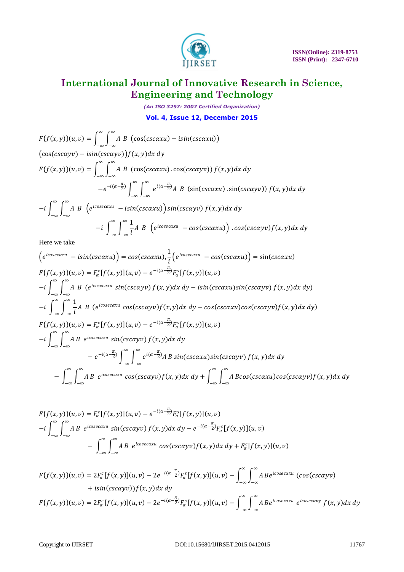

*(An ISO 3297: 2007 Certified Organization)* **Vol. 4, Issue 12, December 2015**

$$
F\{f(x,y)\}(u,v) = \int_{-\infty}^{\infty} \int_{-\infty}^{\infty} A B \left( \cos(csc\alpha xu) - i\sin(csc\alpha xu) \right)
$$
  
\n
$$
(\cos(csc\alpha yv) - i\sin(csc\alpha yv))f(x,y)dx dy
$$
  
\n
$$
F\{f(x,y)\}(u,v) = \int_{-\infty}^{\infty} \int_{-\infty}^{\infty} A B \left( \cos(csc\alpha xu) \cdot \cos(csc\alpha yv) \right) f(x,y)dx dy
$$
  
\n
$$
-e^{-i(\alpha - \frac{\pi}{2})} \int_{-\infty}^{\infty} \int_{-\infty}^{\infty} e^{i(\alpha - \frac{\pi}{2})} A B \left( \sin(csc\alpha xu) \cdot \sin(csc\alpha yv) \right) f(x,y)dx dy
$$
  
\n
$$
-i \int_{-\infty}^{\infty} \int_{-\infty}^{\infty} A B \left( e^{icosec\alpha xu} - i\sin(csc\alpha xu) \right) \sin(csc\alpha yv) f(x,y)dx dy
$$
  
\n
$$
-i \int_{-\infty}^{\infty} \int_{-\infty}^{\infty} \frac{1}{i} A B \left( e^{icosec\alpha xu} - \cos(csc\alpha xu) \right) \cdot \cos(csc\alpha yv) f(x,y)dx dy
$$
  
\nHere we take

Here we take

$$
(e^{icosecaxu} - i sin(cscaxu)) = cos(cscaxu), \frac{1}{i} (e^{icosecaxu} - cos(cscaxu)) = sin(cscaxu)
$$
  
\n
$$
F{f(x, y)}(u, v) = F_{\alpha}^{c}[f(x, y)](u, v) - e^{-i(\alpha - \frac{\pi}{2})}F_{\alpha}^{s}[f(x, y)](u, v)
$$
  
\n
$$
-i \int_{-\infty}^{\infty} \int_{-\infty}^{\infty} A B (e^{icosecaxu} sin(cscayv) f(x, y) dx dy - i sin(cscaxu) sin(cscayv) f(x, y) dx dy)
$$
  
\n
$$
-i \int_{-\infty}^{\infty} \int_{-\infty}^{\infty} \frac{1}{i} A B (e^{icosecaxu} cos(cscayv) f(x, y) dx dy - cos(cscaxu) cos(cscayv) f(x, y) dx dy)
$$
  
\n
$$
F{f(x, y)}(u, v) = F_{\alpha}^{c}[f(x, y)](u, v) - e^{-i(\alpha - \frac{\pi}{2})}F_{\alpha}^{s}[f(x, y)](u, v)
$$
  
\n
$$
-i \int_{-\infty}^{\infty} \int_{-\infty}^{\infty} A B e^{icosecaxu} sin(cscayv) f(x, y) dx dy
$$
  
\n
$$
-e^{-i(\alpha - \frac{\pi}{2})} \int_{-\infty}^{\infty} \int_{-\infty}^{\infty} e^{i(\alpha - \frac{\pi}{2})} A B sin(cscaxu) sin(cscayv) f(x, y) dx dy
$$
  
\n
$$
- \int_{-\infty}^{\infty} \int_{-\infty}^{\infty} A B e^{icosecaxu} cos(cscayv) f(x, y) dx dy + \int_{-\infty}^{\infty} \int_{-\infty}^{\infty} A B cos(cscaxu) cos(cscayv) f(x, y) dx dy
$$

$$
F\{f(x,y)\}(u,v) = F_{\alpha}^{c}[f(x,y)](u,v) - e^{-i(\alpha - \frac{\pi}{2})}F_{\alpha}^{s}[f(x,y)](u,v)
$$
  

$$
-i\int_{-\infty}^{\infty}\int_{-\infty}^{\infty} AB e^{i\csc\alpha xu} \sin(csc\alpha yv) f(x,y)dx dy - e^{-i(\alpha - \frac{\pi}{2})}F_{\alpha}^{s}[f(x,y)](u,v)
$$
  

$$
- \int_{-\infty}^{\infty}\int_{-\infty}^{\infty} AB e^{i\csc\alpha xu} \cos(csc\alpha yv) f(x,y)dx dy + F_{\alpha}^{c}[f(x,y)](u,v)
$$

 $F\{f(x, y)\}(u, v) = 2F_{\alpha}^{c}[f(x, y)](u, v) - 2e^{-i(\alpha - \frac{\pi}{2})}F_{\alpha}^{s}[f(x, y)](u, v) - \int_{-\infty}^{\infty} \int_{-\infty}^{\infty} A(x, y)dx$ ∞ −∞ ∞ −∞ Beicosecaxu (cos(cscayv)  $+ isin(cscayv))f(x, y)dx dy$  $F\{f(x,y)\}(u,v) = 2F_{\alpha}^{c}[f(x,y)](u,v) - 2e^{-i(\alpha - \frac{\pi}{2})}F_{\alpha}^{s}[f(x,y)](u,v) - \int_{-\infty}^{\infty} \int_{-\infty}^{\infty} A(x,y)dx$ ∞ −∞ ∞ −∞ Beicosecaxu eicosecavy  $f(x, y) dx dy$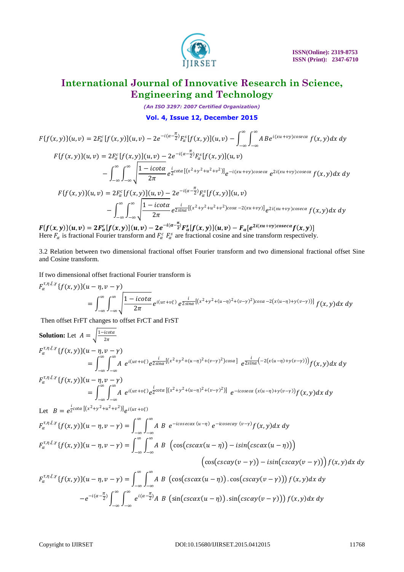

*(An ISO 3297: 2007 Certified Organization)*

**Vol. 4, Issue 12, December 2015**

$$
F\{f(x,y)\}(u,v) = 2F_{\alpha}^{c}[f(x,y)](u,v) - 2e^{-i(\alpha - \frac{\pi}{2})}F_{\alpha}^{s}[f(x,y)](u,v) - \int_{-\infty}^{\infty} \int_{-\infty}^{\infty} A B e^{i(xu+vy)cosec\alpha} f(x,y) dx dy
$$
  
\n
$$
F\{f(x,y)\}(u,v) = 2F_{\alpha}^{c}[f(x,y)](u,v) - 2e^{-i(\alpha - \frac{\pi}{2})}F_{\alpha}^{s}[f(x,y)](u,v)
$$
  
\n
$$
- \int_{-\infty}^{\infty} \int_{-\infty}^{\infty} \frac{1 - i\cot\alpha}{2\pi} e^{\frac{i}{2}\cot\alpha [(x^{2}+y^{2}+u^{2}+v^{2})]} e^{-i(xu+vy)cosec\alpha} e^{2i(xu+vy)cosec\alpha} f(x,y) dx dy
$$
  
\n
$$
F\{f(x,y)\}(u,v) = 2F_{\alpha}^{c}[f(x,y)](u,v) - 2e^{-i(\alpha - \frac{\pi}{2})}F_{\alpha}^{s}[f(x,y)](u,v)
$$
  
\n
$$
- \int_{-\infty}^{\infty} \int_{-\infty}^{\infty} \frac{1 - i\cot\alpha}{2\pi} e^{\frac{i}{2\sin\alpha} [(x^{2}+y^{2}+u^{2}+v^{2})cos\alpha - 2(xu+vy)]} e^{2i(xu+vy)cos\alpha} f(x,y) dx dy
$$

 $F\{f(x,y)\}(u,v) = 2F^c_{\alpha}[f(x,y)](u,v) - 2e^{-i(\alpha-\frac{\pi}{2})}F^s_{\alpha}[f(x,y)](u,v) - F_{\alpha}[e^{2i(xu+vy)coseca}f(x,y)]$ Here  $F_\alpha$  is fractional Fourier transform and  $F_\alpha^c$   $F_\alpha^s$  are fractional cosine and sine transform respectively.

3.2 Relation between two dimensional fractional offset Fourier transform and two dimensional fractional offset Sine and Cosine transform.

If two dimensional offset fractional Fourier transform is

$$
F_{\alpha}^{\tau,\eta,\xi,\gamma}\{f(x,y)\}(u-\eta,v-\gamma) = \int_{-\infty}^{\infty}\int_{-\infty}^{\infty}\sqrt{\frac{1-i\cot\alpha}{2\pi}}e^{i(u\tau+v\xi)}e^{\frac{i}{2\sin\alpha}[(x^2+y^2+(u-\eta)^2+(v-\gamma)^2)\cos\alpha-2(x(u-\eta)+y(v-\gamma))]}f(x,y)dx dy
$$

Then offset FrFT changes to offset FrCT and FrST

Solution: Let 
$$
A = \sqrt{\frac{1 - i\cot \alpha}{2\pi}}
$$
  
\n
$$
F_{\alpha}^{\tau,\eta,\xi,\gamma} \{f(x,y)\}(u-\eta, v-\gamma)
$$
\n
$$
= \int_{-\infty}^{\infty} \int_{-\infty}^{\infty} A e^{i(u\tau + v\xi)} e^{\frac{i}{25i\pi\alpha}[(x^2 + y^2 + (u-\eta)^2 + (v-\gamma)^2)\cos\alpha]} e^{\frac{i}{25i\pi\alpha}(-2(x(u-\eta) + y(v-\gamma)))} f(x,y) dx dy
$$
\n
$$
F_{\alpha}^{\tau,\eta,\xi,\gamma} \{f(x,y)\}(u-\eta, v-\gamma)
$$
\n
$$
= \int_{-\infty}^{\infty} \int_{-\infty}^{\infty} A e^{i(u\tau + v\xi)} e^{\frac{i}{2}\cot\alpha [(x^2 + y^2 + (u-\eta)^2 + (v-\gamma)^2)]} e^{-i\csc\alpha (x(u-\eta) + y(v-\gamma))} f(x,y) dx dy
$$
\nLet  $B = e^{\frac{i}{2}\cot\alpha [(x^2 + y^2 + u^2 + v^2)]} e^{i(u\tau + v\xi)}$   
\n
$$
F_{\alpha}^{\tau,\eta,\xi,\gamma} \{f(x,y)\}(u-\eta, v-\gamma) = \int_{-\infty}^{\infty} \int_{-\infty}^{\infty} A B e^{-i\cos\alpha x (u-\eta)} e^{-i\cos\alpha y (v-\gamma)} f(x,y) dx dy
$$
\n
$$
F_{\alpha}^{\tau,\eta,\xi,\gamma} \{f(x,y)\}(u-\eta, v-\gamma) = \int_{-\infty}^{\infty} \int_{-\infty}^{\infty} A B \left( \cos(\csc\alpha x(u-\eta)) - i\sin(\csc\alpha x(u-\eta)) \right)
$$
\n
$$
\left( \cos(\csc\alpha y(v-\gamma)) - i\sin(\csc\alpha y(v-\gamma)) \right) f(x,y) dx dy
$$
\n
$$
F_{\alpha}^{\tau,\eta,\xi,\gamma} \{f(x,y)\}(u-\eta, v-\gamma) = \int_{-\infty}^{\infty} \int_{-\infty}^{\infty} A B \left( \cos(\csc\alpha x(u-\eta)) \cdot \cos(\csc\alpha y(v-\gamma)) \right) f(x,y) dx dy
$$
\n
$$
-e^{-i(a-\frac{\pi}{2})} \int_{-\infty}^{\
$$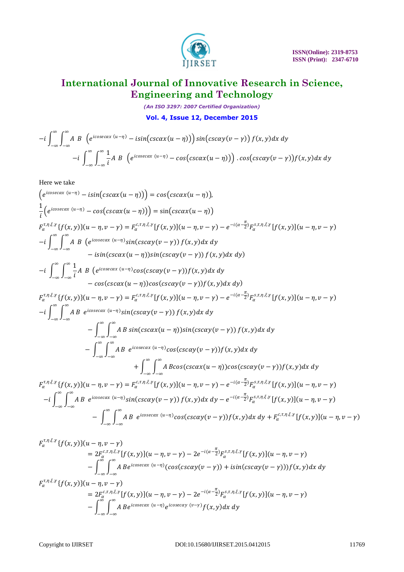

*(An ISO 3297: 2007 Certified Organization)* **Vol. 4, Issue 12, December 2015**

$$
-i\int_{-\infty}^{\infty}\int_{-\infty}^{\infty}A\ B\ \left(e^{i\csc\alpha x\ (u-\eta)}-i\sin\big(csc\alpha x(u-\eta)\big)\right)\sin\big(csc\alpha y(v-\gamma)\big)f(x,y)dx\ dy
$$

$$
-i\int_{-\infty}^{\infty}\int_{-\infty}^{\infty}\frac{1}{i}A\ B\ \left(e^{i\csc\alpha x\ (u-\eta)}-c\cos\big(csc\alpha x(u-\eta)\big)\right)\cdot\cos\big(csc\alpha y(v-\gamma)\big)f(x,y)dx\ dy
$$

Here we take

$$
\begin{aligned}\n\left(e^{i\csc\alpha x (u-\eta)} - i\sin(\csc\alpha x(u-\eta))\right) &= \cos(\csc\alpha x(u-\eta)), \\
\frac{1}{i}\left(e^{i\csc\alpha x (u-\eta)} - \cos(\csc\alpha x(u-\eta))\right) &= \sin(\csc\alpha x(u-\eta)) \\
F_{\alpha}^{t,\eta,\xi,\gamma}\left\{f(x,y)\right\}(u-\eta,v-\gamma) &= F_{\alpha}^{c,\tau,\eta,\xi,\gamma}\left\{f(x,y)\right\}\left[(u-\eta,v-\gamma) - e^{-i(\alpha-\frac{\pi}{2})}F_{\alpha}^{s,\tau,\eta,\xi,\gamma}\left\{f(x,y)\right\}\left[(u-\eta,v-\gamma) - e^{-i(\alpha-\frac{\pi}{2})}F_{\alpha}^{s,\tau,\eta,\xi,\gamma}\left\{f(x,y)\right\}\left[(u-\eta,v-\gamma) - e^{-i(\alpha-\frac{\pi}{2})}F_{\alpha}^{s,\tau,\eta,\xi,\gamma}\left\{f(x,y)\right\}\left[(u-\eta,v-\gamma) - e^{-i(\alpha-\frac{\pi}{2})}F_{\alpha}^{s,\tau,\eta,\xi,\gamma}\left\{f(x,y)\right\}\left[(u-\eta,v-\gamma) - e^{-i(\alpha-\frac{\pi}{2})}F_{\alpha}^{s,\tau,\eta,\xi,\gamma}\left\{f(x,y)\right\}\left[(u-\eta,v-\gamma) - e^{-i(\alpha-\frac{\pi}{2})}F_{\alpha}^{s,\tau,\eta,\xi,\gamma}\left\{f(x,y)\right\}\left[(u-\eta,v-\gamma) - e^{-i(\alpha-\frac{\pi}{2})}F_{\alpha}^{s,\tau,\eta,\xi,\gamma}\left\{f(x,y)\right\}\left[(u-\eta,v-\gamma) - e^{-i(\alpha-\frac{\pi}{2})}F_{\alpha}^{s,\tau,\eta,\xi,\gamma}\left\{f(x,y)\right\}\left[(u-\eta,v-\gamma) - e^{-i(\alpha-\frac{\pi}{2})}F_{\alpha}^{s,\tau,\eta,\xi,\gamma}\left\{f(x,y)\right\}\left[(u-\eta,v-\gamma) - e^{-i(\alpha-\frac{\pi}{2})}F_{\alpha}^{s,\tau,\eta,\xi,\gamma}\left\{f(x,y)\right\}\left[(u-\eta,v-\gamma) - e^{-i(\alpha-\frac{\pi}{2})}F_{\alpha}^{s,\tau,\eta,\xi,\gamma}\left[\left\{f(x,y)\right\}\left[(u-\eta,v-\gamma) - e^{-i(\alpha-\frac{\pi}{2})}F_{\alpha}^{s,\tau,\eta,\xi,\gamma}\left\{f(x,y)\right
$$

$$
F_{\alpha}^{\tau,\eta,\xi,\gamma}\{f(x,y)\}(u-\eta,v-\gamma)
$$
  
\n
$$
=2F_{\alpha}^{\tau,\eta,\xi,\gamma}[f(x,y)](u-\eta,v-\gamma)-2e^{-i(\alpha-\frac{\pi}{2})}F_{\alpha}^{\varsigma,\tau,\eta,\xi,\gamma}[f(x,y)](u-\eta,v-\gamma)
$$
  
\n
$$
-\int_{-\infty}^{\infty}\int_{-\infty}^{\infty}A\,Be^{i\text{cosecax}(u-\eta)}(\cos(\text{cscay}(v-\gamma))+i\text{sin}(\text{cscay}(v-\gamma)))f(x,y)dx\,dy
$$
  
\n
$$
F_{\alpha}^{\tau,\eta,\xi,\gamma}\{f(x,y)\}(u-\eta,v-\gamma)
$$
  
\n
$$
=2F_{\alpha}^{\varsigma,\eta,\xi,\gamma}[f(x,y)](u-\eta,v-\gamma)-2e^{-i(\alpha-\frac{\pi}{2})}F_{\alpha}^{\varsigma,\tau,\eta,\xi,\gamma}[f(x,y)](u-\eta,v-\gamma)
$$

$$
=2F_{\alpha}^{c,\tau,\eta,\xi,\gamma}[f(x,y)](u-\eta,v-\gamma)-2e^{-i(\alpha-\frac{\pi}{2})}F_{\alpha}^{s,\tau,\eta,\xi,\gamma}[f(x,y)](u-\eta,v-\gamma)-\int_{-\infty}^{\infty}\int_{-\infty}^{\infty}A\,Be^{icosec\alpha x}\,(u-\eta)\,e^{icosec\alpha y}\,(v-\gamma)f(x,y)dx\,dy
$$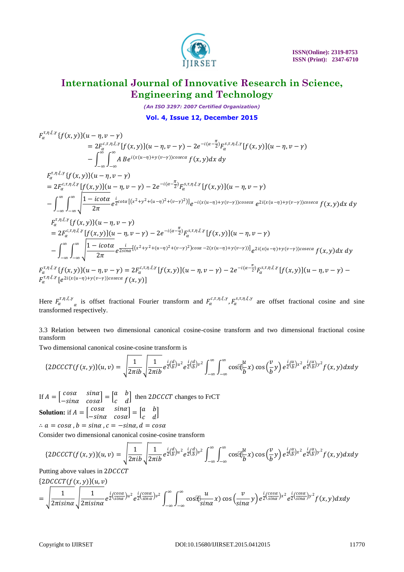

*(An ISO 3297: 2007 Certified Organization)* **Vol. 4, Issue 12, December 2015**

$$
F_{\alpha}^{\tau,\eta,\xi,\gamma}\{f(x,y)\}(u-\eta,v-\gamma)
$$
\n
$$
= 2F_{\alpha}^{(\tau,\eta,\xi,\gamma)}[f(x,y)](u-\eta,v-\gamma) - 2e^{-i(\alpha-\frac{\pi}{2})}F_{\alpha}^{s,\tau,\eta,\xi,\gamma}[f(x,y)](u-\eta,v-\gamma)
$$
\n
$$
- \int_{-\infty}^{\infty} \int_{-\infty}^{\infty} A B e^{i(x(u-\eta)+y(v-\gamma))\cos \alpha c\alpha} f(x,y) dx dy
$$
\n
$$
F_{\alpha}^{\tau,\eta,\xi,\gamma}\{f(x,y)\}(u-\eta,v-\gamma)
$$
\n
$$
= 2F_{\alpha}^{(\tau,\eta,\xi,\gamma)}[f(x,y)](u-\eta,v-\gamma) - 2e^{-i(\alpha-\frac{\pi}{2})}F_{\alpha}^{s,\tau,\eta,\xi,\gamma}[f(x,y)](u-\eta,v-\gamma)
$$
\n
$$
- \int_{-\infty}^{\infty} \int_{-\infty}^{\infty} \frac{1 - i\cot \alpha}{2\pi} e^{\frac{i}{2}\cot \alpha}[(x^{2}+y^{2}+(u-\eta)^{2}+(v-\gamma)^{2})] e^{-i(x(u-\eta)+y(v-\gamma))\cos \alpha c\alpha} e^{2i(x(u-\eta)+y(v-\gamma))\cos \alpha c\alpha} f(x,y) dx dy
$$
\n
$$
F_{\alpha}^{\tau,\eta,\xi,\gamma}\{f(x,y)\}(u-\eta,v-\gamma)
$$
\n
$$
= 2F_{\alpha}^{(\tau,\eta,\xi,\gamma)}[f(x,y)](u-\eta,v-\gamma) - 2e^{-i(\alpha-\frac{\pi}{2})}F_{\alpha}^{s,\tau,\eta,\xi,\gamma}[f(x,y)](u-\eta,v-\gamma)
$$
\n
$$
- \int_{-\infty}^{\infty} \int_{-\infty}^{\infty} \frac{1 - i\cot \alpha}{2\pi} e^{\frac{i}{2\sin \alpha}[(x^{2}+y^{2}+(u-\eta)^{2}+(v-\gamma)^{2})\cos \alpha - 2(x(u-\eta)+y(v-\gamma))]} e^{2i(x(u-\eta)+y(v-\gamma))\cos \alpha c\alpha} f(x,y) dx dy
$$
\n
$$
F_{\alpha}^{\tau,\eta,\xi,\gamma}\{f(\gamma,\gamma)\}(u-\eta,v-\gamma) = 2F_{\alpha}^{(\tau,\eta,\xi,\gamma}[f(\gamma,\gamma)](u-\eta,v-\
$$

 $F_{\alpha}^{\tau,\eta,\xi,\gamma}\{f(x,y)\}(u-\eta,v-\gamma) = 2F_{\alpha}^{c,\tau,\eta,\xi,\gamma}[f(x,y)](u-\eta,v-\gamma) - 2e^{-i(\alpha-\frac{\pi}{2})}F_{\alpha}^{s,\tau,\eta,\xi,\gamma}[f(x,y)](u-\eta,v-\gamma) F_{\alpha}^{\tau,\eta,\xi,\gamma}\left[e^{2i(x(u-\eta)+y(v-\gamma))cosec\alpha}\,f(x,y)\right]$ 

Here  $F_{\alpha}^{\tau,\eta,\xi,\gamma}$ a is offset fractional Fourier transform and  $F_{\alpha}^{c,\tau,\eta,\xi,\gamma}, F_{\alpha}^{s,\tau,\eta,\xi,\gamma}$  are offset fractional cosine and sine transformed respectively.

3.3 Relation between two dimensional canonical cosine-cosine transform and two dimensional fractional cosine transform

Two dimensional canonical cosine-cosine transform is

$$
\{2DCCCT(f(x,y)\}(u,v) = \sqrt{\frac{1}{2\pi ib}}\sqrt{\frac{1}{2\pi ib}}e^{\frac{i}{2}(\frac{d}{b})u^2}e^{\frac{i}{2}(\frac{d}{b})v^2}\int_{-\infty}^{\infty}\int_{-\infty}^{\infty}\cos(\frac{u}{b}x)\cos(\frac{v}{b}y)e^{\frac{i}{2}(\frac{a}{b})x^2}e^{\frac{i}{2}(\frac{a}{b})y^2}f(x,y)dxdy
$$

If  $A = \begin{bmatrix} \cos \alpha & \sin \alpha \\ \sin \alpha & \cos \alpha \end{bmatrix}$  $\begin{bmatrix} \cos\alpha & \sin\alpha \\ -\sin\alpha & \cos\alpha \end{bmatrix} = \begin{bmatrix} a & b \\ c & d \end{bmatrix}$  $\begin{bmatrix} a & b \\ c & d \end{bmatrix}$  then 2DCCCT changes to FrCT **Solution:** if  $A = \begin{bmatrix} \cos \alpha & \sin \alpha \\ \sin \alpha & \cos \alpha \end{bmatrix}$  $\begin{bmatrix} cos\alpha & sin\alpha \\ -sin\alpha & cos\alpha \end{bmatrix} = \begin{bmatrix} a & b \\ c & d \end{bmatrix}$  $\begin{bmatrix} a & b \\ c & d \end{bmatrix}$  $\therefore$   $a = cos\alpha$ ,  $b = sin\alpha$ ,  $c = -sin\alpha$ ,  $d = cos\alpha$ 

Consider two dimensional canonical cosine-cosine transform

$$
\{2DCCCT(f(x,y)\}(u,v) = \sqrt{\frac{1}{2\pi ib}} \sqrt{\frac{1}{2\pi ib}} e^{\frac{i}{2}(\frac{d}{b})u^2} e^{\frac{i}{2}(\frac{d}{b})v^2} \int_{-\infty}^{\infty} \int_{-\infty}^{\infty} \cos(\frac{u}{b}x) \cos(\frac{v}{b}y) e^{\frac{i}{2}(\frac{a}{b})x^2} e^{\frac{i}{2}(\frac{a}{b})y^2} f(x,y) dx dy
$$

Putting above values in 2DCCCT

 ${2DCCCT(f(x, y))(u, v)}$ 

$$
= \sqrt{\frac{1}{2\pi i \sin \alpha}} \sqrt{\frac{1}{2\pi i \sin \alpha}} e^{\frac{i}{2} (\frac{\cos \alpha}{\sin \alpha}) u^2} e^{\frac{i}{2} (\frac{\cos \alpha}{\sin \alpha}) v^2} \int_{-\infty}^{\infty} \int_{-\infty}^{\infty} \cos(\frac{u}{\sin \alpha} x) \cos(\frac{v}{\sin \alpha}) \, dv \Big|_{-\infty}^{\infty} e^{\frac{i}{2} (\frac{\cos \alpha}{\sin \alpha}) v^2} e^{\frac{i}{2} (\frac{\cos \alpha}{\sin \alpha}) v^2} f(x, y) dx dy
$$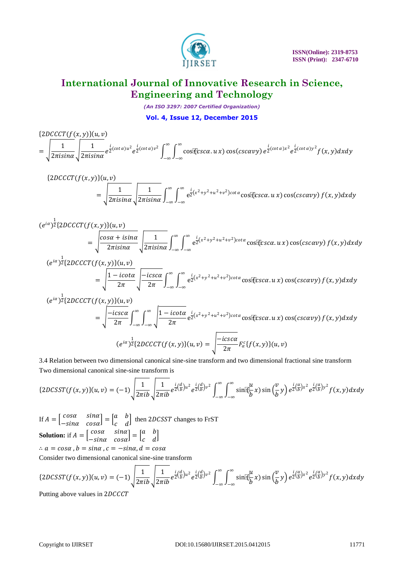

*(An ISO 3297: 2007 Certified Organization)* **Vol. 4, Issue 12, December 2015**

$$
\begin{aligned} &\{2DCCCT(f(x,y)\}(u,v)\\ &=\sqrt{\frac{1}{2\pi i \sin\alpha}}\sqrt{\frac{1}{2\pi i \sin\alpha}}e^{\frac{i}{2}(cot\alpha)u^{2}}e^{\frac{i}{2}(cot\alpha)v^{2}}\int_{-\infty}^{\infty}\int_{-\infty}^{\infty}\cos(\csc\alpha.u\,x)\cos(csc\alpha vy)e^{\frac{i}{2}(cot\alpha)x^{2}}e^{\frac{i}{2}(cot\alpha)y^{2}}f(x,y)dxdy \end{aligned}
$$

$$
\{2DCCCT(f(x,y)\}(u,v)\n= \sqrt{\frac{1}{2\pi i \sin\alpha}} \sqrt{\frac{1}{2\pi i \sin\alpha}} \int_{-\infty}^{\infty} \int_{-\infty}^{\infty} e^{\frac{i}{2}(x^2+y^2+u^2+v^2)cot\alpha} \cos[\cos\alpha, u\,x\cos(csc\alpha v)] f(x,y) dxdy
$$

$$
(e^{i\alpha})^{\frac{1}{2}}\lbrace 2DCCT(f(x,y)\rbrace (u,v))
$$
  
=  $\sqrt{\frac{\cos\alpha + i\sin\alpha}{2\pi i\sin\alpha}} \sqrt{\frac{1}{2\pi i\sin\alpha}} \int_{-\infty}^{\infty} \int_{-\infty}^{\infty} e^{\frac{i}{2}(x^2+y^2+u^2+v^2)\cot\alpha} \cos[\xi \csc\alpha.u \, x) \cos(\csc\alpha vy) f(x,y) dxdy$   
 $(e^{i\alpha})^{\frac{1}{2}}\lbrace 2DCCT(f(x,y)\rbrace (u,v))$ 

$$
e^{-\int z\{ZDCLCLI\}}(f(x,y))f(u,v)
$$
  
=  $\sqrt{\frac{1-icota}{2\pi}}\sqrt{\frac{-icsca}{2\pi}}\int_{-\infty}^{\infty}\int_{-\infty}^{\infty}e^{\frac{i}{2}(x^2+y^2+u^2+v^2)cot\alpha}\cos[\csc\alpha.u\,x)\cos(csc\alpha v\,)f(x,y)dxdy$ 

$$
(e^{i\alpha})^{\frac{1}{2}}\lbrace 2DCCT(f(x, y))\lbrace u, v\rbrace
$$
\n
$$
= \sqrt{\frac{-ics\alpha}{2\pi}} \int_{-\infty}^{\infty} \int_{-\infty}^{\infty} \sqrt{\frac{1 - icot\alpha}{2\pi}} e^{\frac{i}{2}(x^2 + y^2 + u^2 + v^2)cot\alpha} \cos[\ell cs\alpha, u\, x) \cos(csc\alpha v y) f(x, y) dx dy
$$
\n
$$
(e^{i\alpha})^{\frac{1}{2}}\lbrace 2DCCT(f(x, y))\lbrace u, v\rbrace = \sqrt{\frac{-ics\alpha}{2\pi}} F_{\alpha}^{c}\lbrace f(x, y)\rbrace (u, v)
$$

3.4 Relation between two dimensional canonical sine-sine transform and two dimensional fractional sine transform Two dimensional canonical sine-sine transform is

$$
\{2DCSST(f(x,y)\}(u,v) = (-1)\sqrt{\frac{1}{2\pi ib}}\sqrt{\frac{1}{2\pi ib}}e^{\frac{i}{2}(\frac{d}{b})u^2}e^{\frac{i}{2}(\frac{d}{b})v^2}\int_{-\infty}^{\infty}\int_{-\infty}^{\infty}\sin(\frac{u}{b}x)\sin(\frac{v}{b}y)e^{\frac{i}{2}(\frac{a}{b})x^2}e^{\frac{i}{2}(\frac{a}{b})y^2}f(x,y)dxdy
$$

If  $A = \begin{bmatrix} \cos \alpha & \sin \alpha \\ \sin \alpha & \cos \alpha \end{bmatrix}$  $\begin{bmatrix} cos\alpha & sin\alpha \\ -sin\alpha & cos\alpha \end{bmatrix} = \begin{bmatrix} a & b \\ c & d \end{bmatrix}$  $\begin{bmatrix} a & b \\ c & d \end{bmatrix}$  then 2DCSST changes to FrST **Solution:** if  $A = \begin{bmatrix} \cos \alpha & \sin \alpha \\ \sin \alpha & \cos \alpha \end{bmatrix}$  $\begin{bmatrix} cos\alpha & sin\alpha \\ -sin\alpha & cos\alpha \end{bmatrix} = \begin{bmatrix} a & b \\ c & d \end{bmatrix}$  $\begin{bmatrix} a & b \\ c & d \end{bmatrix}$  $\therefore a = cos\alpha$ ,  $b = sin\alpha$ ,  $c = -sin\alpha$ ,  $d = cos\alpha$ 

Consider two dimensional canonical sine-sine transform

$$
\{2DCSST(f(x,y)\}(u,v) = (-1)\sqrt{\frac{1}{2\pi ib}}\sqrt{\frac{1}{2\pi ib}}e^{\frac{i}{2}(\frac{d}{b})u^2}e^{\frac{i}{2}(\frac{d}{b})v^2}\int_{-\infty}^{\infty}\int_{-\infty}^{\infty}\sin(\frac{u}{b}x)\sin(\frac{v}{b}y)e^{\frac{i}{2}(\frac{a}{b})x^2}e^{\frac{i}{2}(\frac{a}{b})y^2}f(x,y)dxdy
$$

Putting above values in 2DCCCT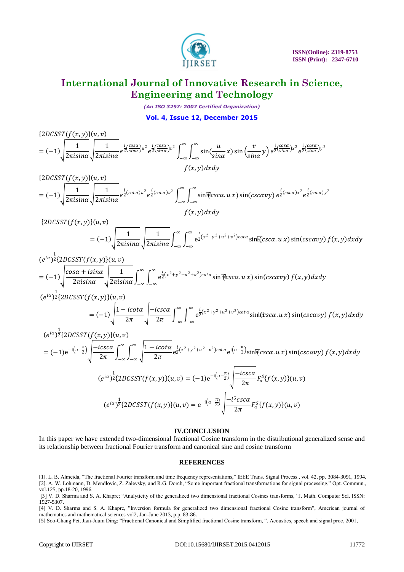

*(An ISO 3297: 2007 Certified Organization)*

**Vol. 4, Issue 12, December 2015**

 $\{2DCSST(f(x, y))(u, v)\}$  $= (-1) \left| \frac{1}{2\pi i} \right|$  $rac{1}{2\pi i sin\alpha}$  $\sqrt{\frac{1}{2\pi i s}}$  $\frac{1}{2\pi i sin\alpha}e^{\frac{i}{2}(\frac{cos\alpha}{sin\alpha})u^2}e^{\frac{i}{2}(\frac{cos\alpha}{sin\alpha})v^2}\int_{-\infty}^{\infty}\int_{-\infty}^{\infty}\sin(\frac{u}{sin\alpha})du$ sina ∞ −∞ ∞ −∞ x) sin  $\left(\frac{v}{\sin x}\right)$  $\left(\frac{v}{\sin\alpha}y\right)e^{\frac{i}{2}\left(\frac{\cos\alpha}{\sin\alpha}\right)x^2}e^{\frac{i}{2}\left(\frac{\cos\alpha}{\sin\alpha}\right)y^2}$  $f(x, y) dx dy$ 

 ${2DCSST(f(x, y)}(u, v)$  $= (-1) \left| \frac{1}{2\pi i} \right|$  $rac{1}{2\pi i sin\alpha}$  $\sqrt{\frac{1}{2\pi i s}}$  $\frac{1}{2\pi i sin\alpha}e^{\frac{i}{2}(cot\alpha)u^{2}}e^{\frac{i}{2}(cot\alpha)v^{2}}\int_{-\infty}^{\infty}\int_{-\infty}^{\infty}\sin^{2}(ksc\alpha.u)$ ∞ −∞ ∞ −∞ x)  $\sin(cscavy) e^{\frac{i}{2}(cot \alpha)x^2} e^{\frac{i}{2}(cot \alpha)y^2}$ 

$$
f(x,y)dxdy
$$

 ${2DCSST(f(x, y)}(u, v)$ 

$$
= (-1)\sqrt{\frac{1}{2\pi i \sin\alpha}}\sqrt{\frac{1}{2\pi i \sin\alpha}}\int_{-\infty}^{\infty}\int_{-\infty}^{\infty}e^{\frac{i}{2}(x^2+y^2+u^2+v^2)cot\alpha}\sin[\csc\alpha.u\,x)\sin(csc\alpha vy)f(x,y)dxdy
$$

$$
(e^{i\alpha})^{\frac{1}{2}}\{2DCSST(f(x,y)\}(u,v))
$$
\n
$$
= (-1)\sqrt{\frac{\cos\alpha + i\sin\alpha}{2\pi i\sin\alpha}}\sqrt{\frac{1}{2\pi i\sin\alpha}}\int_{-\infty}^{\infty}\int_{-\infty}^{\infty} e^{\frac{i}{2}(x^2+y^2+u^2+v^2)cot\alpha}\sin[\cos\alpha u\,x)\sin(\csc\alpha v\,)\,f(x,y)dxdy
$$
\n
$$
(e^{i\alpha})^{\frac{1}{2}}\{2DCSST(f(x,y)\}(u,v)
$$

$$
CSST(f(x,y))\{(u,v)\}\n= (-1)\sqrt{\frac{1-i\cot\alpha}{2\pi}}\sqrt{\frac{-i\csc\alpha}{2\pi}}\int_{-\infty}^{\infty}\int_{-\infty}^{\infty}e^{\frac{i}{2}(x^2+y^2+u^2+v^2)\cot\alpha}\sin[\csc\alpha.u\,x)\sin(\csc\alphavy)\,f(x,y)dxdy
$$

$$
(e^{i\alpha})^{\frac{1}{2}}\lbrace 2DC SST(f(x, y))\lbrace u, v\rbrace
$$
\n
$$
= (-1)e^{-i(\alpha - \frac{\pi}{2})}\sqrt{\frac{-ics\alpha}{2\pi}}\int_{-\infty}^{\infty}\int_{-\infty}^{\infty}\sqrt{\frac{1 - ic\alpha}{2\pi}}e^{\frac{i}{2}(x^2 + y^2 + u^2 + v^2)cot\alpha}e^{i(\alpha - \frac{\pi}{2})}\sin[\xi s c\alpha \cdot u \cdot x]\sin(csc\alpha y) f(x, y) dxdy
$$
\n
$$
(e^{i\alpha})^{\frac{1}{2}}\lbrace 2DC SST(f(x, y))(u, v) = (-1)e^{-i(\alpha - \frac{\pi}{2})}\sqrt{\frac{-ics\alpha}{2\pi}}F_{\alpha}^{S}\lbrace f(x, y)\rbrace(u, v)
$$
\n
$$
(e^{i\alpha})^{\frac{1}{2}}\lbrace 2DC SST(f(x, y))(u, v) = e^{-i(\alpha - \frac{\pi}{2})}\sqrt{\frac{-i^{5}csc\alpha}{2\pi}}F_{\alpha}^{S}\lbrace f(x, y)\rbrace(u, v)
$$

### **IV.CONCLUSION**

In this paper we have extended two-dimensional fractional Cosine transform in the distributional generalized sense and its relationship between fractional Fourier transform and canonical sine and cosine transform

### **REFERENCES**

[1]. L. B. Almeida, "The fractional Fourier transform and time frequency representations," IEEE Trans. Signal Process., vol. 42, pp. 3084-3091, 1994. [2]. A. W. Lohmann, D. Mendlovic, Z. Zalevsky, and R.G. Dorch, "Some important fractional transformations for signal processing," Opt. Commun., vol.125, pp.18-20, 1996.

[3] V. D. Sharma and S. A. Khapre; "Analyticity of the generalized two dimensional fractional Cosines transforms, "J. Math. Computer Sci. ISSN: 1927-5307.

[4] V. D. Sharma and S. A. Khapre, "Inversion formula for generalized two dimensional fractional Cosine transform", American journal of mathematics and mathematical sciences vol2, Jan-June 2013, p.p. 83-86.

[5] Soo-Chang Pei, Jian-Juum Ding; "Fractional Canonical and Simplified fractional Cosine transform, ". Acoustics, speech and signal proc, 2001,

1